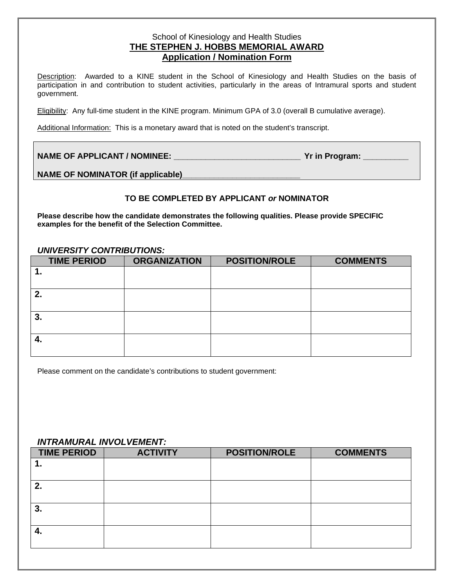## School of Kinesiology and Health Studies **THE STEPHEN J. HOBBS MEMORIAL AWARD Application / Nomination Form**

Description: Awarded to a KINE student in the School of Kinesiology and Health Studies on the basis of participation in and contribution to student activities, particularly in the areas of Intramural sports and student government.

Eligibility: Any full-time student in the KINE program. Minimum GPA of 3.0 (overall B cumulative average).

Additional Information: This is a monetary award that is noted on the student's transcript.

| <b>NAME OF APPLICANT / NOMINEE:</b> | Yr in Program: |
|-------------------------------------|----------------|
|-------------------------------------|----------------|

NAME OF NOMINATOR (if applicable)

## **TO BE COMPLETED BY APPLICANT** *or* **NOMINATOR**

**Please describe how the candidate demonstrates the following qualities. Please provide SPECIFIC examples for the benefit of the Selection Committee.**

#### *UNIVERSITY CONTRIBUTIONS:*

| <b>TIME PERIOD</b> | <b>ORGANIZATION</b> | <b>POSITION/ROLE</b> | <b>COMMENTS</b> |
|--------------------|---------------------|----------------------|-----------------|
|                    |                     |                      |                 |
|                    |                     |                      |                 |
| 2.                 |                     |                      |                 |
|                    |                     |                      |                 |
| 3.                 |                     |                      |                 |
|                    |                     |                      |                 |
|                    |                     |                      |                 |
|                    |                     |                      |                 |

Please comment on the candidate's contributions to student government:

### *INTRAMURAL INVOLVEMENT:*

| <b>TIME PERIOD</b> | <b>ACTIVITY</b> | <b>POSITION/ROLE</b> | <b>COMMENTS</b> |
|--------------------|-----------------|----------------------|-----------------|
| . .                |                 |                      |                 |
|                    |                 |                      |                 |
| 2.                 |                 |                      |                 |
|                    |                 |                      |                 |
| 3.                 |                 |                      |                 |
|                    |                 |                      |                 |
|                    |                 |                      |                 |
|                    |                 |                      |                 |